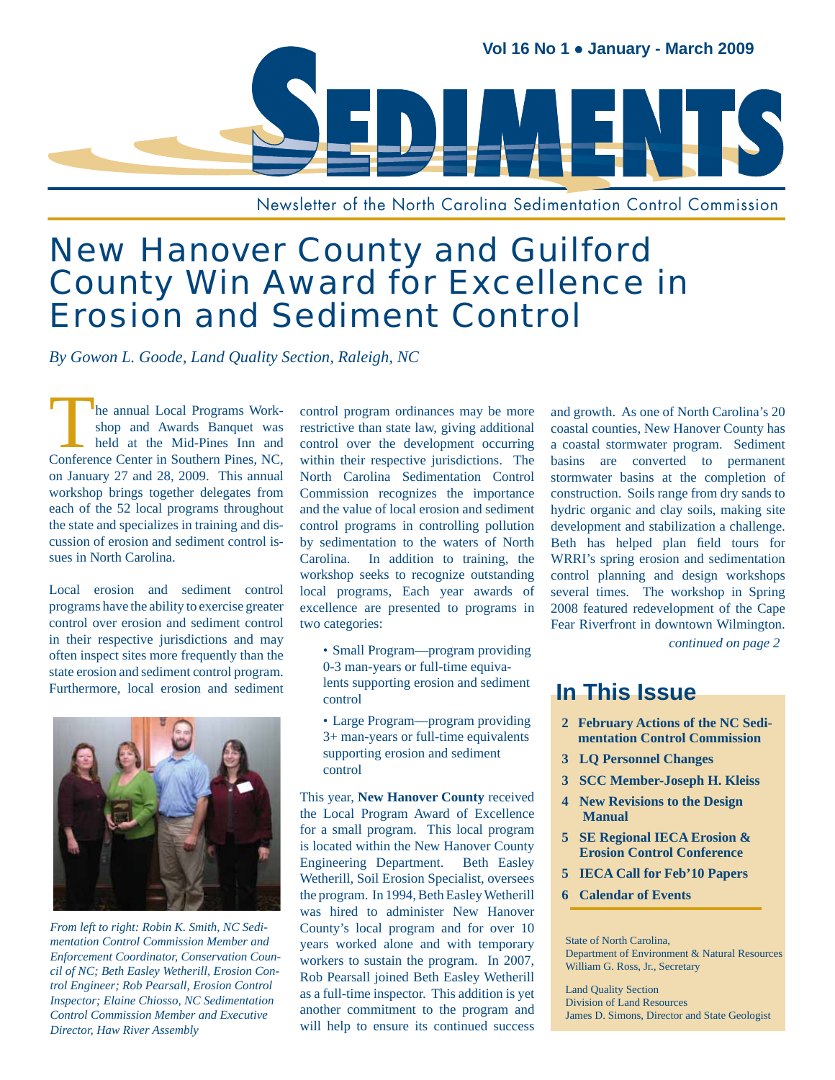

Newsletter of the North Carolina Sedimentation Control Commission

# New Hanover County and Guilford County Win Award for Excellence in Erosion and Sediment Control

*By Gowon L. Goode, Land Quality Section, Raleigh, NC*

The annual Local Programs Work-<br>Shop and Awards Banquet was<br>held at the Mid-Pines Inn and<br>Conference Center in Southern Pines NC shop and Awards Banquet was held at the Mid-Pines Inn and Conference Center in Southern Pines, NC, on January 27 and 28, 2009. This annual workshop brings together delegates from each of the 52 local programs throughout the state and specializes in training and discussion of erosion and sediment control issues in North Carolina.

Local erosion and sediment control programs have the ability to exercise greater control over erosion and sediment control in their respective jurisdictions and may often inspect sites more frequently than the state erosion and sediment control program. Furthermore, local erosion and sediment



*From left to right: Robin K. Smith, NC Sedimentation Control Commission Member and Enforcement Coordinator, Conservation Council of NC; Beth Easley Wetherill, Erosion Control Engineer; Rob Pearsall, Erosion Control Inspector; Elaine Chiosso, NC Sedimentation Control Commission Member and Executive Director, Haw River Assembly*

control program ordinances may be more restrictive than state law, giving additional control over the development occurring within their respective jurisdictions. The North Carolina Sedimentation Control Commission recognizes the importance and the value of local erosion and sediment control programs in controlling pollution by sedimentation to the waters of North Carolina. In addition to training, the workshop seeks to recognize outstanding local programs, Each year awards of excellence are presented to programs in two categories:

- Small Program—program providing 0-3 man-years or full-time equivalents supporting erosion and sediment control
- Large Program—program providing 3+ man-years or full-time equivalents supporting erosion and sediment control

This year, **New Hanover County** received the Local Program Award of Excellence for a small program. This local program is located within the New Hanover County Engineering Department. Beth Easley Wetherill, Soil Erosion Specialist, oversees the program. In 1994, Beth Easley Wetherill was hired to administer New Hanover County's local program and for over 10 years worked alone and with temporary workers to sustain the program. In 2007, Rob Pearsall joined Beth Easley Wetherill as a full-time inspector. This addition is yet another commitment to the program and will help to ensure its continued success

and growth. As one of North Carolina's 20 coastal counties, New Hanover County has a coastal stormwater program. Sediment basins are converted to permanent stormwater basins at the completion of construction. Soils range from dry sands to hydric organic and clay soils, making site development and stabilization a challenge. Beth has helped plan field tours for WRRI's spring erosion and sedimentation control planning and design workshops several times. The workshop in Spring 2008 featured redevelopment of the Cape Fear Riverfront in downtown Wilmington.

*continued on page 2*

## **In This Issue**

- **2 February Actions of the NC Sedi mentation Control Commission**
- **3 LQ Personnel Changes**
- **3 SCC Member-Joseph H. Kleiss**
- **4 New Revisions to the Design Manual**
- **5 SE Regional IECA Erosion & Erosion Control Conference**
- **5 IECA Call for Feb'10 Papers**
- **6 Calendar of Events**

State of North Carolina, Department of Environment & Natural Resources William G. Ross, Jr., Secretary

Land Quality Section Division of Land Resources James D. Simons, Director and State Geologist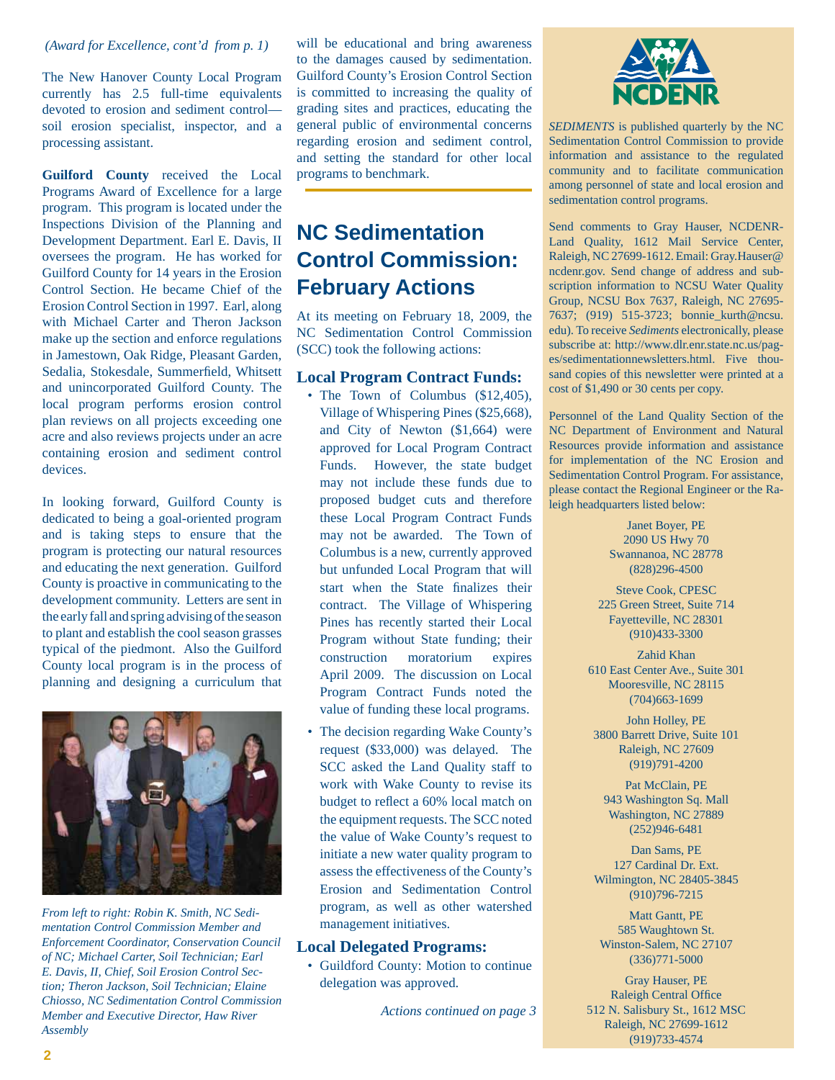#### *(Award for Excellence, cont'd from p. 1)*

The New Hanover County Local Program currently has 2.5 full-time equivalents devoted to erosion and sediment control soil erosion specialist, inspector, and a processing assistant.

**Guilford County** received the Local Programs Award of Excellence for a large program. This program is located under the Inspections Division of the Planning and Development Department. Earl E. Davis, II oversees the program. He has worked for Guilford County for 14 years in the Erosion Control Section. He became Chief of the Erosion Control Section in 1997. Earl, along with Michael Carter and Theron Jackson make up the section and enforce regulations in Jamestown, Oak Ridge, Pleasant Garden, Sedalia, Stokesdale, Summerfield, Whitsett and unincorporated Guilford County. The local program performs erosion control plan reviews on all projects exceeding one acre and also reviews projects under an acre containing erosion and sediment control devices.

In looking forward, Guilford County is dedicated to being a goal-oriented program and is taking steps to ensure that the program is protecting our natural resources and educating the next generation. Guilford County is proactive in communicating to the development community. Letters are sent in the early fall and spring advising of the season to plant and establish the cool season grasses typical of the piedmont. Also the Guilford County local program is in the process of planning and designing a curriculum that



*From left to right: Robin K. Smith, NC Sedimentation Control Commission Member and Enforcement Coordinator, Conservation Council of NC; Michael Carter, Soil Technician; Earl E. Davis, II, Chief, Soil Erosion Control Section; Theron Jackson, Soil Technician; Elaine Chiosso, NC Sedimentation Control Commission Member and Executive Director, Haw River Assembly*

will be educational and bring awareness to the damages caused by sedimentation. Guilford County's Erosion Control Section is committed to increasing the quality of grading sites and practices, educating the general public of environmental concerns regarding erosion and sediment control, and setting the standard for other local programs to benchmark.

## **NC Sedimentation Control Commission: February Actions**

At its meeting on February 18, 2009, the NC Sedimentation Control Commission (SCC) took the following actions:

#### **Local Program Contract Funds:**

- The Town of Columbus (\$12,405), Village of Whispering Pines (\$25,668), and City of Newton (\$1,664) were approved for Local Program Contract Funds. However, the state budget may not include these funds due to proposed budget cuts and therefore these Local Program Contract Funds may not be awarded. The Town of Columbus is a new, currently approved but unfunded Local Program that will start when the State finalizes their contract. The Village of Whispering Pines has recently started their Local Program without State funding; their construction moratorium expires April 2009. The discussion on Local Program Contract Funds noted the value of funding these local programs.
- The decision regarding Wake County's request (\$33,000) was delayed. The SCC asked the Land Quality staff to work with Wake County to revise its budget to reflect a 60% local match on the equipment requests. The SCC noted the value of Wake County's request to initiate a new water quality program to assess the effectiveness of the County's Erosion and Sedimentation Control program, as well as other watershed management initiatives.

#### **Local Delegated Programs:**

• Guildford County: Motion to continue delegation was approved.

*Actions continued on page 3*



*SEDIMENTS* is published quarterly by the NC Sedimentation Control Commission to provide information and assistance to the regulated community and to facilitate communication among personnel of state and local erosion and sedimentation control programs.

Send comments to Gray Hauser, NCDENR-Land Quality, 1612 Mail Service Center, Raleigh, NC 27699-1612. Email: Gray.Hauser@ ncdenr.gov. Send change of address and subscription information to NCSU Water Quality Group, NCSU Box 7637, Raleigh, NC 27695- 7637; (919) 515-3723; bonnie\_kurth@ncsu. edu). To receive *Sediments* electronically, please subscribe at: http://www.dlr.enr.state.nc.us/pages/sedimentationnewsletters.html. Five thousand copies of this newsletter were printed at a cost of \$1,490 or 30 cents per copy.

Personnel of the Land Quality Section of the NC Department of Environment and Natural Resources provide information and assistance for implementation of the NC Erosion and Sedimentation Control Program. For assistance, please contact the Regional Engineer or the Raleigh headquarters listed below:

> Janet Boyer, PE 2090 US Hwy 70 Swannanoa, NC 28778 (828)296-4500

Steve Cook, CPESC 225 Green Street, Suite 714 Fayetteville, NC 28301 (910)433-3300

Zahid Khan 610 East Center Ave., Suite 301 Mooresville, NC 28115 (704)663-1699

John Holley, PE 3800 Barrett Drive, Suite 101 Raleigh, NC 27609 (919)791-4200

Pat McClain, PE 943 Washington Sq. Mall Washington, NC 27889 (252)946-6481

Dan Sams, PE 127 Cardinal Dr. Ext. Wilmington, NC 28405-3845 (910)796-7215

Matt Gantt, PE 585 Waughtown St. Winston-Salem, NC 27107 (336)771-5000

Gray Hauser, PE Raleigh Central Office 512 N. Salisbury St., 1612 MSC Raleigh, NC 27699-1612 (919)733-4574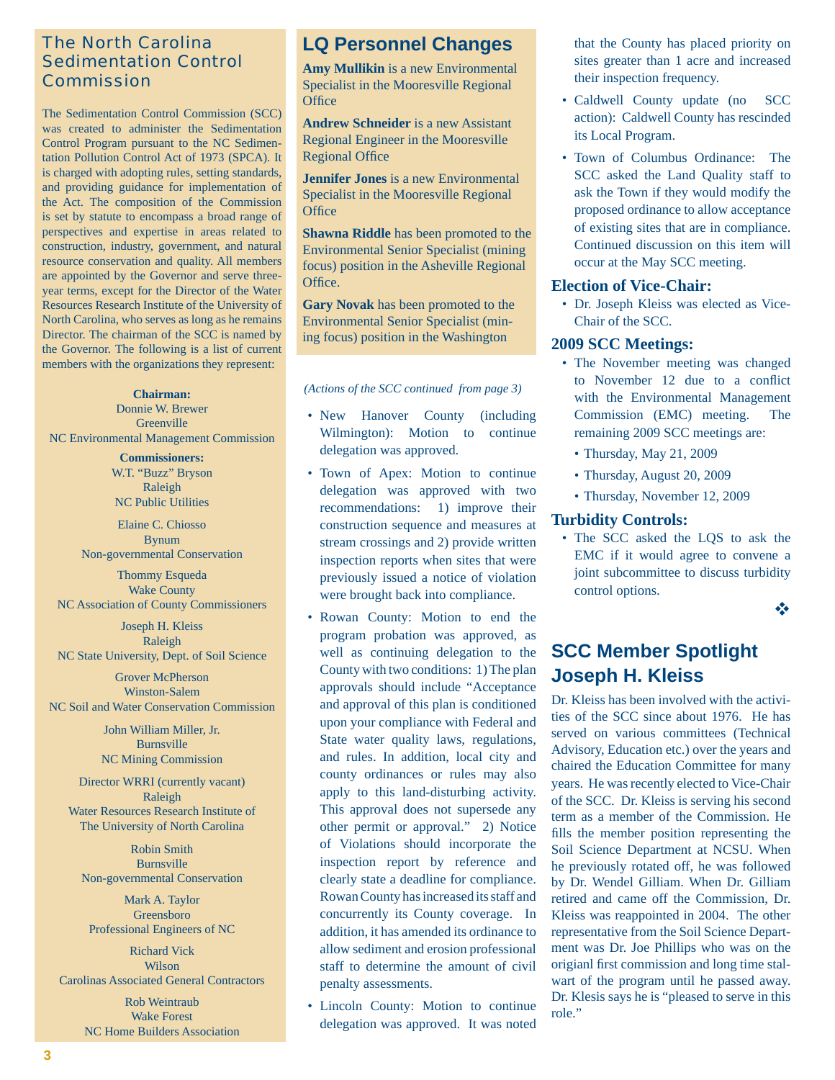## The North Carolina Sedimentation Control Commission

The Sedimentation Control Commission (SCC) was created to administer the Sedimentation Control Program pursuant to the NC Sedimentation Pollution Control Act of 1973 (SPCA). It is charged with adopting rules, setting standards, and providing guidance for implementation of the Act. The composition of the Commission is set by statute to encompass a broad range of perspectives and expertise in areas related to construction, industry, government, and natural resource conservation and quality. All members are appointed by the Governor and serve threeyear terms, except for the Director of the Water Resources Research Institute of the University of North Carolina, who serves as long as he remains Director. The chairman of the SCC is named by the Governor. The following is a list of current members with the organizations they represent:

#### **Chairman:**

Donnie W. Brewer Greenville NC Environmental Management Commission

> **Commissioners:** W.T. "Buzz" Bryson Raleigh NC Public Utilities

Elaine C. Chiosso Bynum Non-governmental Conservation

Thommy Esqueda Wake County NC Association of County Commissioners

Joseph H. Kleiss Raleigh NC State University, Dept. of Soil Science

Grover McPherson Winston-Salem NC Soil and Water Conservation Commission

> John William Miller, Jr. Burnsville NC Mining Commission

Director WRRI (currently vacant) Raleigh Water Resources Research Institute of The University of North Carolina

Robin Smith Burnsville Non-governmental Conservation

Mark A. Taylor Greensboro Professional Engineers of NC

Richard Vick Wilson Carolinas Associated General Contractors

> Rob Weintraub Wake Forest NC Home Builders Association

## **LQ Personnel Changes**

**Amy Mullikin** is a new Environmental Specialist in the Mooresville Regional Office

**Andrew Schneider** is a new Assistant Regional Engineer in the Mooresville **Regional Office** 

**Jennifer Jones** is a new Environmental Specialist in the Mooresville Regional **Office** 

**Shawna Riddle** has been promoted to the Environmental Senior Specialist (mining focus) position in the Asheville Regional Office.

**Gary Novak** has been promoted to the Environmental Senior Specialist (mining focus) position in the Washington

*(Actions of the SCC continued from page 3)*

- New Hanover County (including Wilmington): Motion to continue delegation was approved.
- Town of Apex: Motion to continue delegation was approved with two recommendations: 1) improve their construction sequence and measures at stream crossings and 2) provide written inspection reports when sites that were previously issued a notice of violation were brought back into compliance.
- Rowan County: Motion to end the program probation was approved, as well as continuing delegation to the County with two conditions: 1) The plan approvals should include "Acceptance and approval of this plan is conditioned upon your compliance with Federal and State water quality laws, regulations, and rules. In addition, local city and county ordinances or rules may also apply to this land-disturbing activity. This approval does not supersede any other permit or approval." 2) Notice of Violations should incorporate the inspection report by reference and clearly state a deadline for compliance. Rowan County has increased its staff and concurrently its County coverage. In addition, it has amended its ordinance to allow sediment and erosion professional staff to determine the amount of civil penalty assessments.
- Lincoln County: Motion to continue delegation was approved. It was noted

that the County has placed priority on sites greater than 1 acre and increased their inspection frequency.

- Caldwell County update (no SCC action): Caldwell County has rescinded its Local Program.
- Town of Columbus Ordinance: The SCC asked the Land Quality staff to ask the Town if they would modify the proposed ordinance to allow acceptance of existing sites that are in compliance. Continued discussion on this item will occur at the May SCC meeting.

#### **Election of Vice-Chair:**

• Dr. Joseph Kleiss was elected as Vice-Chair of the SCC.

#### **2009 SCC Meetings:**

- The November meeting was changed to November 12 due to a conflict with the Environmental Management Commission (EMC) meeting. The remaining 2009 SCC meetings are:
	- Thursday, May 21, 2009
	- Thursday, August 20, 2009 •
	- Thursday, November 12, 2009

#### **Turbidity Controls:**

• The SCC asked the LQS to ask the EMC if it would agree to convene a joint subcommittee to discuss turbidity control options.

 $\frac{1}{2}$ 

## **SCC Member Spotlight Joseph H. Kleiss**

Dr. Kleiss has been involved with the activities of the SCC since about 1976. He has served on various committees (Technical Advisory, Education etc.) over the years and chaired the Education Committee for many years. He was recently elected to Vice-Chair of the SCC. Dr. Kleiss is serving his second term as a member of the Commission. He fills the member position representing the Soil Science Department at NCSU. When he previously rotated off, he was followed by Dr. Wendel Gilliam. When Dr. Gilliam retired and came off the Commission, Dr. Kleiss was reappointed in 2004. The other representative from the Soil Science Department was Dr. Joe Phillips who was on the origianl first commission and long time stalwart of the program until he passed away. Dr. Klesis says he is "pleased to serve in this role."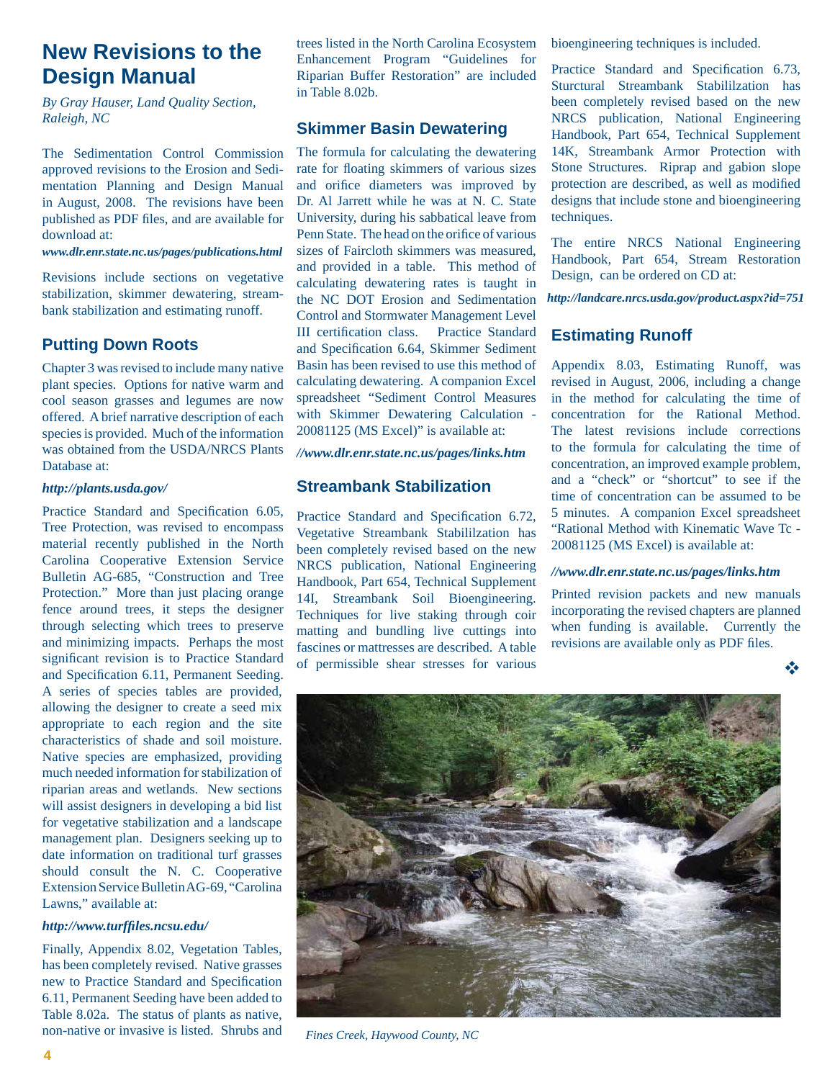## **New Revisions to the Design Manual**

*By Gray Hauser, Land Quality Section, Raleigh, NC* 

The Sedimentation Control Commission approved revisions to the Erosion and Sedimentation Planning and Design Manual in August, 2008. The revisions have been published as PDF files, and are available for download at:

*www.dlr.enr.state.nc.us/pages/publications.html*

Revisions include sections on vegetative stabilization, skimmer dewatering, streambank stabilization and estimating runoff.

### **Putting Down Roots**

Chapter 3 was revised to include many native plant species. Options for native warm and cool season grasses and legumes are now offered. A brief narrative description of each species is provided. Much of the information was obtained from the USDA/NRCS Plants Database at:

#### *http://plants.usda.gov/*

Practice Standard and Specification 6.05, Tree Protection, was revised to encompass material recently published in the North Carolina Cooperative Extension Service Bulletin AG-685, "Construction and Tree Protection." More than just placing orange fence around trees, it steps the designer through selecting which trees to preserve and minimizing impacts. Perhaps the most significant revision is to Practice Standard and Specification 6.11, Permanent Seeding. A series of species tables are provided, allowing the designer to create a seed mix appropriate to each region and the site characteristics of shade and soil moisture. Native species are emphasized, providing much needed information for stabilization of riparian areas and wetlands. New sections will assist designers in developing a bid list for vegetative stabilization and a landscape management plan. Designers seeking up to date information on traditional turf grasses should consult the N. C. Cooperative Extension Service Bulletin AG-69, "Carolina Lawns," available at:

#### *[http://www.turf](http://www.turffiles.ncsu.edu/)fi les.ncsu.edu/*

Finally, Appendix 8.02, Vegetation Tables, has been completely revised. Native grasses new to Practice Standard and Specification 6.11, Permanent Seeding have been added to Table 8.02a. The status of plants as native, non-native or invasive is listed. Shrubs and

trees listed in the North Carolina Ecosystem Enhancement Program "Guidelines for Riparian Buffer Restoration" are included in Table 8.02b.

### **Skimmer Basin Dewatering**

The formula for calculating the dewatering rate for floating skimmers of various sizes and orifice diameters was improved by Dr. Al Jarrett while he was at N. C. State University, during his sabbatical leave from Penn State. The head on the orifice of various sizes of Faircloth skimmers was measured, and provided in a table. This method of calculating dewatering rates is taught in the NC DOT Erosion and Sedimentation Control and Stormwater Management Level III certification class. Practice Standard and Specification 6.64, Skimmer Sediment Basin has been revised to use this method of calculating dewatering. A companion Excel spreadsheet "Sediment Control Measures with Skimmer Dewatering Calculation - 20081125 (MS Excel)" is available at:

*//www.dlr.enr.state.nc.us/pages/links.htm* 

### **Streambank Stabilization**

Practice Standard and Specification 6.72, Vegetative Streambank Stabililzation has been completely revised based on the new NRCS publication, National Engineering Handbook, Part 654, Technical Supplement 14I, Streambank Soil Bioengineering. Techniques for live staking through coir matting and bundling live cuttings into fascines or mattresses are described. A table of permissible shear stresses for various

bioengineering techniques is included.

Practice Standard and Specification 6.73, Sturctural Streambank Stabililzation has been completely revised based on the new NRCS publication, National Engineering Handbook, Part 654, Technical Supplement 14K, Streambank Armor Protection with Stone Structures. Riprap and gabion slope protection are described, as well as modified designs that include stone and bioengineering techniques.

The entire NRCS National Engineering Handbook, Part 654, Stream Restoration Design, can be ordered on CD at:

*http://landcare.nrcs.usda.gov/product.aspx?id=751*

### **Estimating Runoff**

Appendix 8.03, Estimating Runoff, was revised in August, 2006, including a change in the method for calculating the time of concentration for the Rational Method. The latest revisions include corrections to the formula for calculating the time of concentration, an improved example problem, and a "check" or "shortcut" to see if the time of concentration can be assumed to be 5 minutes. A companion Excel spreadsheet "Rational Method with Kinematic Wave Tc - 20081125 (MS Excel) is available at:

#### *//www.dlr.enr.state.nc.us/pages/links.htm*

Printed revision packets and new manuals incorporating the revised chapters are planned when funding is available. Currently the revisions are available only as PDF files.

❖



*Fines Creek, Haywood County, NC*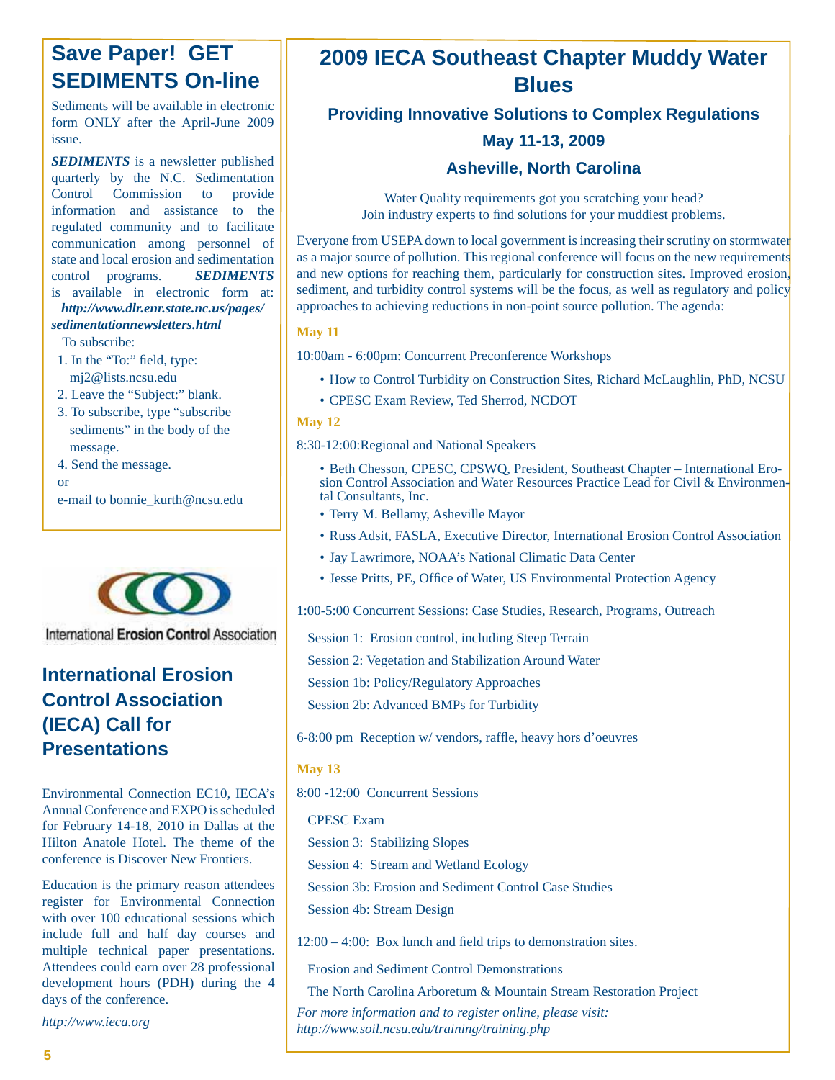## **Save Paper! GET SEDIMENTS On-line**

Sediments will be available in electronic form ONLY after the April-June 2009 issue.

*SEDIMENTS* is a newsletter published quarterly by the N.C. Sedimentation Control Commission to provide information and assistance to the regulated community and to facilitate communication among personnel of state and local erosion and sedimentation control programs. *SEDIMENTS* is available in electronic form at:

*[http://www.dlr.enr.state.nc.us/pages/](http://www.dlr.enr.state.nc.us/pages/sedimentationnewsletters.html) sedimentationnewsletters.html*

To subscribe:

- 1. In the "To:" field, type: mj2@lists.ncsu.edu
- 2. Leave the "Subject:" blank.
- 3. To subscribe, type "subscribe sediments" in the body of the message.
- 4. Send the message.

or

e-mail to bonnie\_kurth@ncsu.edu



International Erosion Control Association

## **International Erosion Control Association (IECA) Call for Presentations**

Environmental Connection EC10, IECA's Annual Conference and EXPO is scheduled for February 14-18, 2010 in Dallas at the Hilton Anatole Hotel. The theme of the conference is Discover New Frontiers.

Education is the primary reason attendees register for Environmental Connection with over 100 educational sessions which include full and half day courses and multiple technical paper presentations. Attendees could earn over 28 professional development hours (PDH) during the 4 days of the conference.

*http://www.ieca.org*

## **2009 IECA Southeast Chapter Muddy Water Blues**

**Providing Innovative Solutions to Complex Regulations**

## **May 11-13, 2009**

### **Asheville, North Carolina**

Water Quality requirements got you scratching your head? Join industry experts to find solutions for your muddiest problems.

Everyone from USEPA down to local government is increasing their scrutiny on stormwater as a major source of pollution. This regional conference will focus on the new requirements and new options for reaching them, particularly for construction sites. Improved erosion, sediment, and turbidity control systems will be the focus, as well as regulatory and policy approaches to achieving reductions in non-point source pollution. The agenda:

#### **May 11**

10:00am - 6:00pm: Concurrent Preconference Workshops

- How to Control Turbidity on Construction Sites, Richard McLaughlin, PhD, NCSU
- CPESC Exam Review, Ted Sherrod, NCDOT •

#### **May 12**

8:30-12:00:Regional and National Speakers

- Beth Chesson, CPESC, CPSWQ, President, Southeast Chapter International Erosion Control Association and Water Resources Practice Lead for Civil & Environmental Consultants, Inc.
- Terry M. Bellamy, Asheville Mayor •
- Russ Adsit, FASLA, Executive Director, International Erosion Control Association •
- Jay Lawrimore, NOAA's National Climatic Data Center
- Jesse Pritts, PE, Office of Water, US Environmental Protection Agency

1:00-5:00 Concurrent Sessions: Case Studies, Research, Programs, Outreach

Session 1: Erosion control, including Steep Terrain

Session 2: Vegetation and Stabilization Around Water

Session 1b: Policy/Regulatory Approaches

Session 2b: Advanced BMPs for Turbidity

6-8:00 pm Reception w/ vendors, raffle, heavy hors d'oeuvres

#### **May 13**

8:00 -12:00 Concurrent Sessions

CPESC Exam

Session 3: Stabilizing Slopes

Session 4: Stream and Wetland Ecology

Session 3b: Erosion and Sediment Control Case Studies

Session 4b: Stream Design

 $12:00 - 4:00$ : Box lunch and field trips to demonstration sites.

Erosion and Sediment Control Demonstrations

The North Carolina Arboretum & Mountain Stream Restoration Project

*For more information and to register online, please visit: http://www.soil.ncsu.edu/training/training.php*